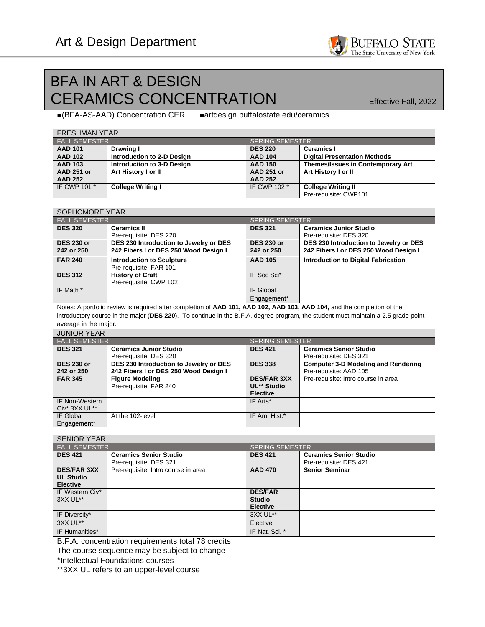## BFA IN ART & DESIGN CERAMICS CONCENTRATION Effective Fall, 2022

**BUFFALO STATE** The State University of New York

■artdesign.buffalostate.edu/ceramics  $\blacksquare$ (BFA-AS-AAD) Concentration CER

| <b>FRESHMAN YEAR</b> |                            |                        |                                          |  |  |  |
|----------------------|----------------------------|------------------------|------------------------------------------|--|--|--|
| <b>FALL SEMESTER</b> |                            | <b>SPRING SEMESTER</b> |                                          |  |  |  |
| <b>AAD 101</b>       | Drawing I                  | <b>DES 220</b>         | <b>Ceramics I</b>                        |  |  |  |
| <b>AAD 102</b>       | Introduction to 2-D Design | <b>AAD 104</b>         | <b>Digital Presentation Methods</b>      |  |  |  |
| <b>AAD 103</b>       | Introduction to 3-D Design | <b>AAD 150</b>         | <b>Themes/Issues in Contemporary Art</b> |  |  |  |
| <b>AAD 251 or</b>    | Art History I or II        | <b>AAD 251 or</b>      | Art History I or II                      |  |  |  |
| <b>AAD 252</b>       |                            | <b>AAD 252</b>         |                                          |  |  |  |
| IF CWP 101 *         | <b>College Writing I</b>   | IF CWP 102 *           | <b>College Writing II</b>                |  |  |  |
|                      |                            |                        | Pre-requisite: CWP101                    |  |  |  |

| SOPHOMORE YEAR                  |                                                                                 |                                 |                                                                                 |  |  |
|---------------------------------|---------------------------------------------------------------------------------|---------------------------------|---------------------------------------------------------------------------------|--|--|
| <b>FALL SEMESTER</b>            |                                                                                 | <b>SPRING SEMESTER</b>          |                                                                                 |  |  |
| <b>DES 320</b>                  | <b>Ceramics II</b><br>Pre-requisite: DES 220                                    | <b>DES 321</b>                  | <b>Ceramics Junior Studio</b><br>Pre-requisite: DES 320                         |  |  |
| <b>DES 230 or</b><br>242 or 250 | DES 230 Introduction to Jewelry or DES<br>242 Fibers I or DES 250 Wood Design I | <b>DES 230 or</b><br>242 or 250 | DES 230 Introduction to Jewelry or DES<br>242 Fibers I or DES 250 Wood Design I |  |  |
| <b>FAR 240</b>                  | <b>Introduction to Sculpture</b><br>Pre-requisite: FAR 101                      | <b>AAD 105</b>                  | <b>Introduction to Digital Fabrication</b>                                      |  |  |
| <b>DES 312</b>                  | <b>History of Craft</b><br>Pre-requisite: CWP 102                               | IF Soc Sci*                     |                                                                                 |  |  |
| IF Math *                       |                                                                                 | IF Global                       |                                                                                 |  |  |
|                                 |                                                                                 | Engagement*                     |                                                                                 |  |  |

Notes: A portfolio review is required after completion of **AAD 101, AAD 102, AAD 103, AAD 104,** and the completion of the introductory course in the major (**DES 220**). To continue in the B.F.A. degree program, the student must maintain a 2.5 grade point average in the major.

| <b>JUNIOR YEAR</b>                 |                                                  |                                                      |                                            |  |  |
|------------------------------------|--------------------------------------------------|------------------------------------------------------|--------------------------------------------|--|--|
| <b>FALL SEMESTER</b>               |                                                  | <b>SPRING SEMESTER</b>                               |                                            |  |  |
| <b>DES 321</b>                     | <b>Ceramics Junior Studio</b>                    | <b>DES 421</b>                                       | <b>Ceramics Senior Studio</b>              |  |  |
|                                    | Pre-requisite: DES 320                           |                                                      | Pre-requisite: DES 321                     |  |  |
| <b>DES 230 or</b>                  | DES 230 Introduction to Jewelry or DES           | <b>DES 338</b>                                       | <b>Computer 3-D Modeling and Rendering</b> |  |  |
| 242 or 250                         | 242 Fibers I or DES 250 Wood Design I            |                                                      | Pre-requisite: AAD 105                     |  |  |
| <b>FAR 345</b>                     | <b>Figure Modeling</b><br>Pre-requisite: FAR 240 | <b>DES/FAR 3XX</b><br>UL** Studio<br><b>Elective</b> | Pre-requisite: Intro course in area        |  |  |
| IF Non-Western<br>$Civ^*$ 3XX UL** |                                                  | IF Arts*                                             |                                            |  |  |
| IF Global<br>Engagement*           | At the 102-level                                 | IF Am. Hist.*                                        |                                            |  |  |

| <b>SENIOR YEAR</b>                                        |                                                         |                                                    |                                                         |  |
|-----------------------------------------------------------|---------------------------------------------------------|----------------------------------------------------|---------------------------------------------------------|--|
| <b>FALL SEMESTER</b>                                      |                                                         | <b>SPRING SEMESTER</b>                             |                                                         |  |
| <b>DES 421</b>                                            | <b>Ceramics Senior Studio</b><br>Pre-requisite: DES 321 | <b>DES 421</b>                                     | <b>Ceramics Senior Studio</b><br>Pre-requisite: DES 421 |  |
| <b>DES/FAR 3XX</b><br><b>UL Studio</b><br><b>Elective</b> | Pre-requisite: Intro course in area                     | <b>AAD 470</b>                                     | <b>Senior Seminar</b>                                   |  |
| IF Western Civ*<br>3XX UL**                               |                                                         | <b>DES/FAR</b><br><b>Studio</b><br><b>Elective</b> |                                                         |  |
| IF Diversity*<br>3XX UL**                                 |                                                         | 3XX UL**<br>Elective                               |                                                         |  |
| IF Humanities*                                            |                                                         | IF Nat. Sci. *                                     |                                                         |  |

B.F.A. concentration requirements total 78 credits

The course sequence may be subject to change

\*Intellectual Foundations courses

\*\*3XX UL refers to an upper-level course